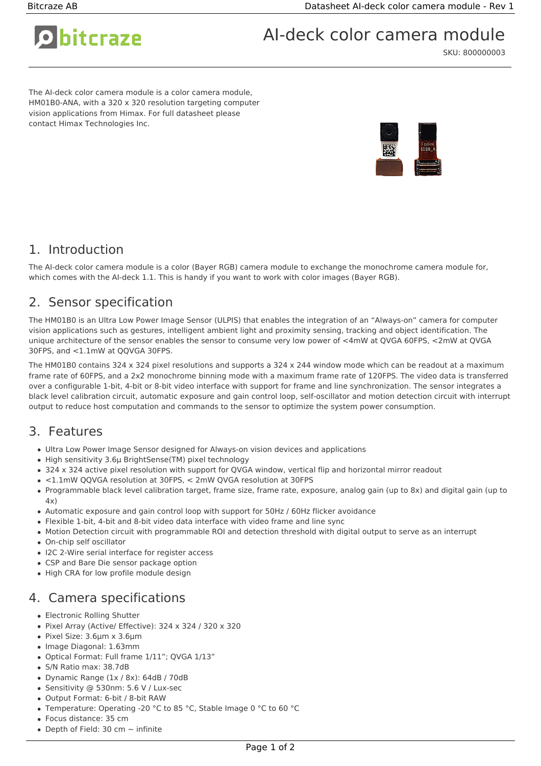# O bitcraze

AI-deck color camera module

SKU: 800000003

The AI-deck color camera module is a color camera module, HM01B0-ANA, with a 320 x 320 resolution targeting computer vision applications from Himax. For full datasheet please contact Himax Technologies Inc.



### 1. Introduction

The AI-deck color camera module is a color (Bayer RGB) camera module to exchange the monochrome camera module for, which comes with the AI-deck 1.1. This is handy if you want to work with color images (Bayer RGB).

## 2. Sensor specification

The HM01B0 is an Ultra Low Power Image Sensor (ULPIS) that enables the integration of an "Always-on" camera for computer vision applications such as gestures, intelligent ambient light and proximity sensing, tracking and object identification. The unique architecture of the sensor enables the sensor to consume very low power of <4mW at QVGA 60FPS, <2mW at QVGA 30FPS, and <1.1mW at QQVGA 30FPS.

The HM01B0 contains 324 x 324 pixel resolutions and supports a 324 x 244 window mode which can be readout at a maximum frame rate of 60FPS, and a 2x2 monochrome binning mode with a maximum frame rate of 120FPS. The video data is transferred over a configurable 1-bit, 4-bit or 8-bit video interface with support for frame and line synchronization. The sensor integrates a black level calibration circuit, automatic exposure and gain control loop, self-oscillator and motion detection circuit with interrupt output to reduce host computation and commands to the sensor to optimize the system power consumption.

#### 3. Features

- Ultra Low Power Image Sensor designed for Always-on vision devices and applications
- High sensitivity 3.6μ BrightSense(TM) pixel technology
- 324 x 324 active pixel resolution with support for QVGA window, vertical flip and horizontal mirror readout
- <1.1mW QQVGA resolution at 30FPS, < 2mW QVGA resolution at 30FPS
- Programmable black level calibration target, frame size, frame rate, exposure, analog gain (up to 8x) and digital gain (up to  $4x)$
- Automatic exposure and gain control loop with support for 50Hz / 60Hz flicker avoidance
- Flexible 1-bit, 4-bit and 8-bit video data interface with video frame and line sync
- Motion Detection circuit with programmable ROI and detection threshold with digital output to serve as an interrupt
- On-chip self oscillator
- I2C 2-Wire serial interface for register access
- CSP and Bare Die sensor package option
- High CRA for low profile module design

## 4. Camera specifications

- Electronic Rolling Shutter
- Pixel Array (Active/ Effective): 324 x 324 / 320 x 320
- Pixel Size: 3.6μm x 3.6μm
- Image Diagonal: 1.63mm
- Optical Format: Full frame 1/11"; QVGA 1/13"
- S/N Ratio max: 38.7dB
- Dynamic Range (1x / 8x): 64dB / 70dB
- Sensitivity @ 530nm: 5.6 V / Lux-sec
- Output Format: 6-bit / 8-bit RAW
- Temperature: Operating -20 °C to 85 °C, Stable Image 0 °C to 60 °C
- Focus distance: 35 cm
- Depth of Field: 30 cm  $\sim$  infinite